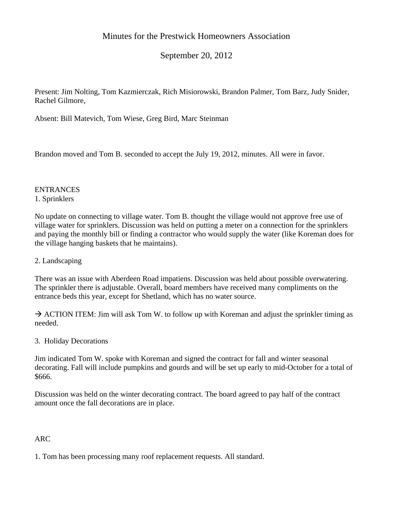# Minutes for the Prestwick Homeowners Association

September 20, 2012

Present: Jim Nolting, Tom Kazmierczak, Rich Misiorowski, Brandon Palmer, Tom Barz, Judy Snider, Rachel Gilmore,

Absent: Bill Matevich, Tom Wiese, Greg Bird, Marc Steinman

Brandon moved and Tom B. seconded to accept the July 19, 2012, minutes. All were in favor.

#### **ENTRANCES** 1. Sprinklers

No update on connecting to village water. Tom B. thought the village would not approve free use of village water for sprinklers. Discussion was held on putting a meter on a connection for the sprinklers and paying the monthly bill or finding a contractor who would supply the water (like Koreman does for the village hanging baskets that he maintains).

#### 2. Landscaping

There was an issue with Aberdeen Road impatiens. Discussion was held about possible overwatering. The sprinkler there is adjustable. Overall, board members have received many compliments on the entrance beds this year, except for Shetland, which has no water source.

 $\rightarrow$  ACTION ITEM: Jim will ask Tom W. to follow up with Koreman and adjust the sprinkler timing as needed.

3. Holiday Decorations

Jim indicated Tom W. spoke with Koreman and signed the contract for fall and winter seasonal decorating. Fall will include pumpkins and gourds and will be set up early to mid-October for a total of \$666.

Discussion was held on the winter decorating contract. The board agreed to pay half of the contract amount once the fall decorations are in place.

## ARC

1. Tom has been processing many roof replacement requests. All standard.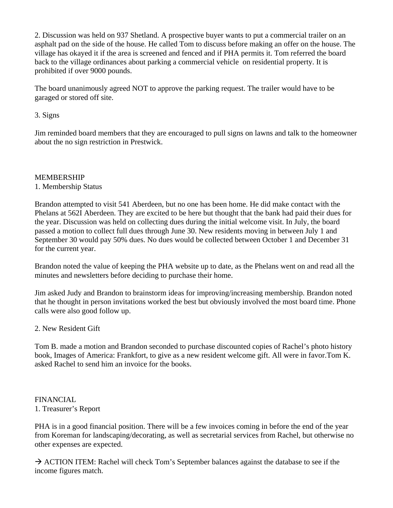2. Discussion was held on 937 Shetland. A prospective buyer wants to put a commercial trailer on an asphalt pad on the side of the house. He called Tom to discuss before making an offer on the house. The village has okayed it if the area is screened and fenced and if PHA permits it. Tom referred the board back to the village ordinances about parking a commercial vehicle on residential property. It is prohibited if over 9000 pounds.

The board unanimously agreed NOT to approve the parking request. The trailer would have to be garaged or stored off site.

#### 3. Signs

Jim reminded board members that they are encouraged to pull signs on lawns and talk to the homeowner about the no sign restriction in Prestwick.

#### MEMBERSHIP

## 1. Membership Status

Brandon attempted to visit 541 Aberdeen, but no one has been home. He did make contact with the Phelans at 562I Aberdeen. They are excited to be here but thought that the bank had paid their dues for the year. Discussion was held on collecting dues during the initial welcome visit. In July, the board passed a motion to collect full dues through June 30. New residents moving in between July 1 and September 30 would pay 50% dues. No dues would be collected between October 1 and December 31 for the current year.

Brandon noted the value of keeping the PHA website up to date, as the Phelans went on and read all the minutes and newsletters before deciding to purchase their home.

Jim asked Judy and Brandon to brainstorm ideas for improving/increasing membership. Brandon noted that he thought in person invitations worked the best but obviously involved the most board time. Phone calls were also good follow up.

#### 2. New Resident Gift

Tom B. made a motion and Brandon seconded to purchase discounted copies of Rachel's photo history book, Images of America: Frankfort, to give as a new resident welcome gift. All were in favor.Tom K. asked Rachel to send him an invoice for the books.

#### FINANCIAL 1. Treasurer's Report

PHA is in a good financial position. There will be a few invoices coming in before the end of the year from Koreman for landscaping/decorating, as well as secretarial services from Rachel, but otherwise no other expenses are expected.

 $\rightarrow$  ACTION ITEM: Rachel will check Tom's September balances against the database to see if the income figures match.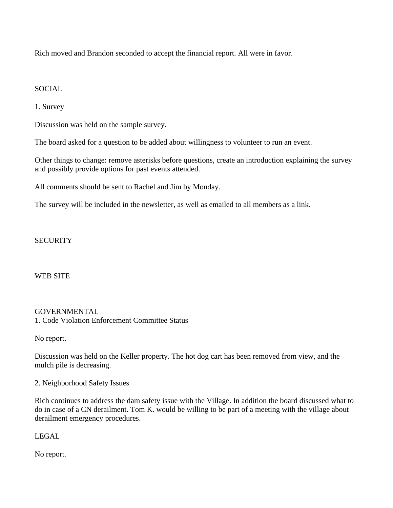Rich moved and Brandon seconded to accept the financial report. All were in favor.

#### **SOCIAL**

1. Survey

Discussion was held on the sample survey.

The board asked for a question to be added about willingness to volunteer to run an event.

Other things to change: remove asterisks before questions, create an introduction explaining the survey and possibly provide options for past events attended.

All comments should be sent to Rachel and Jim by Monday.

The survey will be included in the newsletter, as well as emailed to all members as a link.

## **SECURITY**

#### WEB SITE

#### GOVERNMENTAL

1. Code Violation Enforcement Committee Status

No report.

Discussion was held on the Keller property. The hot dog cart has been removed from view, and the mulch pile is decreasing.

2. Neighborhood Safety Issues

Rich continues to address the dam safety issue with the Village. In addition the board discussed what to do in case of a CN derailment. Tom K. would be willing to be part of a meeting with the village about derailment emergency procedures.

LEGAL

No report.